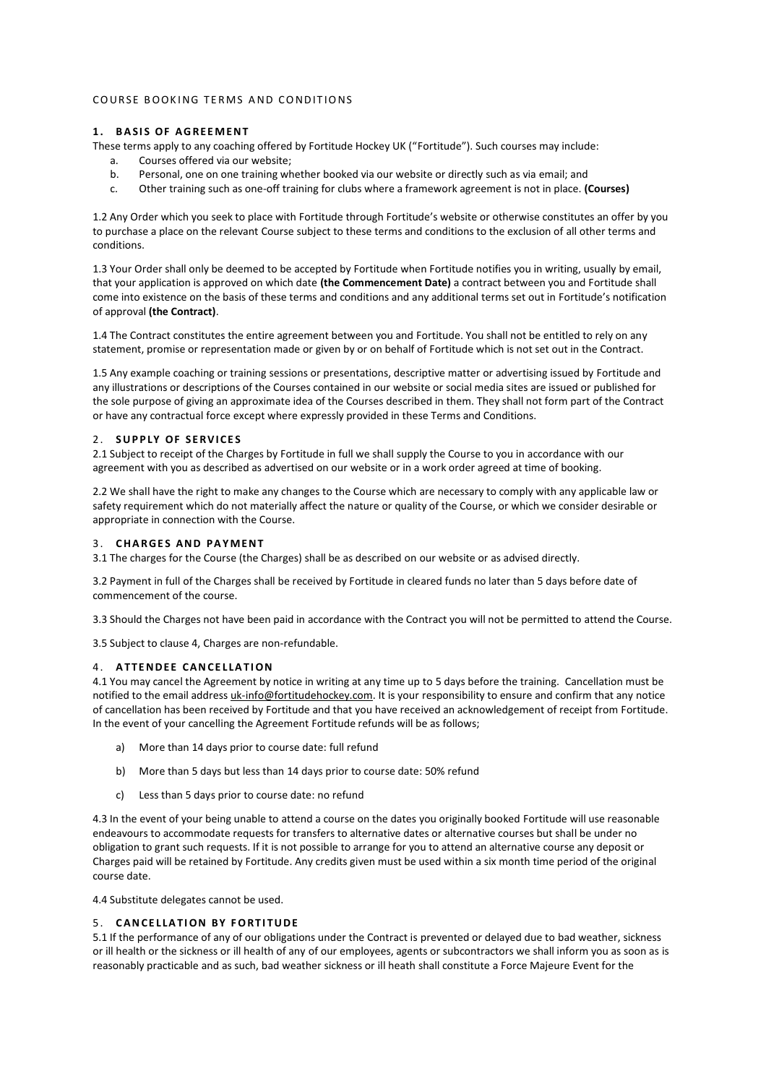## COURSE ROOKING TERMS AND CONDITIONS

## **1. BASIS OF AGREEMENT**

These terms apply to any coaching offered by Fortitude Hockey UK ("Fortitude"). Such courses may include:

- a. Courses offered via our website;
- b. Personal, one on one training whether booked via our website or directly such as via email; and
- c. Other training such as one-off training for clubs where a framework agreement is not in place. **(Courses)**

1.2 Any Order which you seek to place with Fortitude through Fortitude's website or otherwise constitutes an offer by you to purchase a place on the relevant Course subject to these terms and conditions to the exclusion of all other terms and conditions.

1.3 Your Order shall only be deemed to be accepted by Fortitude when Fortitude notifies you in writing, usually by email, that your application is approved on which date **(the Commencement Date)** a contract between you and Fortitude shall come into existence on the basis of these terms and conditions and any additional terms set out in Fortitude's notification of approval **(the Contract)**.

1.4 The Contract constitutes the entire agreement between you and Fortitude. You shall not be entitled to rely on any statement, promise or representation made or given by or on behalf of Fortitude which is not set out in the Contract.

1.5 Any example coaching or training sessions or presentations, descriptive matter or advertising issued by Fortitude and any illustrations or descriptions of the Courses contained in our website or social media sites are issued or published for the sole purpose of giving an approximate idea of the Courses described in them. They shall not form part of the Contract or have any contractual force except where expressly provided in these Terms and Conditions.

### 2. SUPPLY OF SERVICES

2.1 Subject to receipt of the Charges by Fortitude in full we shall supply the Course to you in accordance with our agreement with you as described as advertised on our website or in a work order agreed at time of booking.

2.2 We shall have the right to make any changes to the Course which are necessary to comply with any applicable law or safety requirement which do not materially affect the nature or quality of the Course, or which we consider desirable or appropriate in connection with the Course.

### 3. **CHARGES AND PAYMENT**

3.1 The charges for the Course (the Charges) shall be as described on our website or as advised directly.

3.2 Payment in full of the Charges shall be received by Fortitude in cleared funds no later than 5 days before date of commencement of the course.

3.3 Should the Charges not have been paid in accordance with the Contract you will not be permitted to attend the Course.

3.5 Subject to clause 4, Charges are non-refundable.

## 4 . **A T T E N D E E CA N CE L LA T I ON**

4.1 You may cancel the Agreement by notice in writing at any time up to 5 days before the training. Cancellation must be notified to the email address *uk-info@fortitudehockey.com*. It is your responsibility to ensure and confirm that any notice of cancellation has been received by Fortitude and that you have received an acknowledgement of receipt from Fortitude. In the event of your cancelling the Agreement Fortitude refunds will be as follows;

- a) More than 14 days prior to course date: full refund
- b) More than 5 days but less than 14 days prior to course date: 50% refund
- c) Less than 5 days prior to course date: no refund

4.3 In the event of your being unable to attend a course on the dates you originally booked Fortitude will use reasonable endeavours to accommodate requests for transfers to alternative dates or alternative courses but shall be under no obligation to grant such requests. If it is not possible to arrange for you to attend an alternative course any deposit or Charges paid will be retained by Fortitude. Any credits given must be used within a six month time period of the original course date.

4.4 Substitute delegates cannot be used.

## 5 . **C A N CE L LA T I ON BY F O RT I T U D E**

5.1 If the performance of any of our obligations under the Contract is prevented or delayed due to bad weather, sickness or ill health or the sickness or ill health of any of our employees, agents or subcontractors we shall inform you as soon as is reasonably practicable and as such, bad weather sickness or ill heath shall constitute a Force Majeure Event for the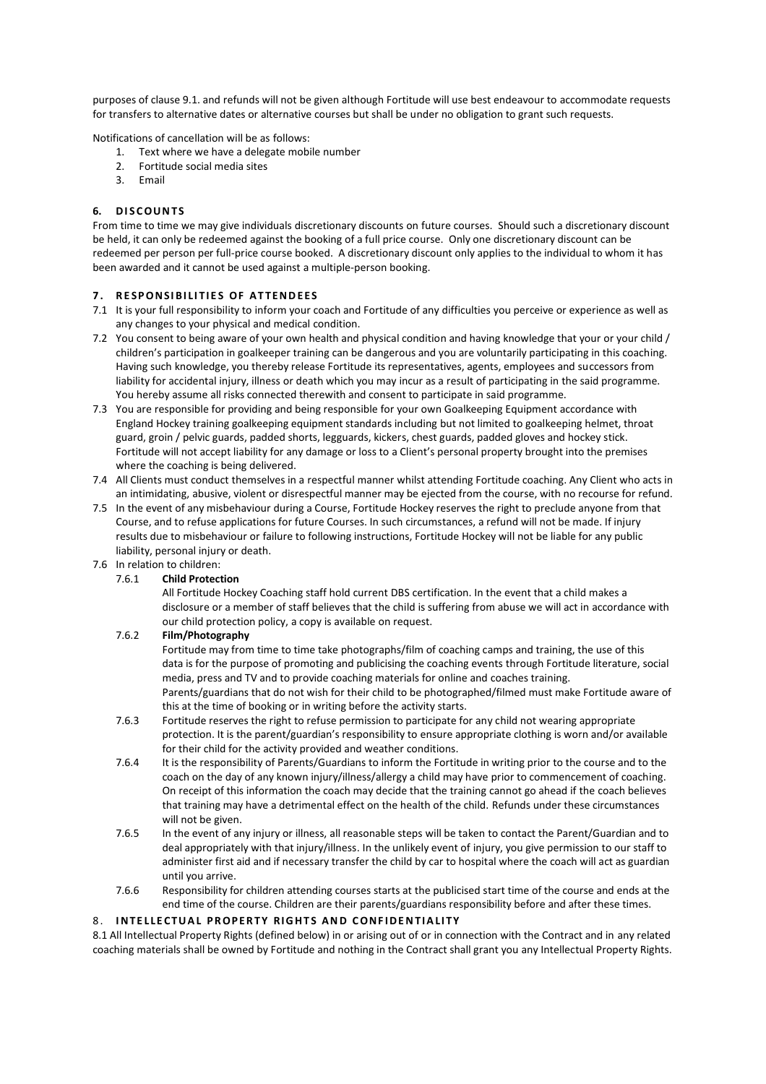purposes of clause 9.1. and refunds will not be given although Fortitude will use best endeavour to accommodate requests for transfers to alternative dates or alternative courses but shall be under no obligation to grant such requests.

Notifications of cancellation will be as follows:

- 1. Text where we have a delegate mobile number
- 2. Fortitude social media sites
- 3. Email

## **6. D I S C OU N T S**

From time to time we may give individuals discretionary discounts on future courses. Should such a discretionary discount be held, it can only be redeemed against the booking of a full price course. Only one discretionary discount can be redeemed per person per full-price course booked. A discretionary discount only applies to the individual to whom it has been awarded and it cannot be used against a multiple-person booking.

### **7 . R E SP O N SI BI LI T I E S OF A T T E N D E E S**

- 7.1 It is your full responsibility to inform your coach and Fortitude of any difficulties you perceive or experience as well as any changes to your physical and medical condition.
- 7.2 You consent to being aware of your own health and physical condition and having knowledge that your or your child / children's participation in goalkeeper training can be dangerous and you are voluntarily participating in this coaching. Having such knowledge, you thereby release Fortitude its representatives, agents, employees and successors from liability for accidental injury, illness or death which you may incur as a result of participating in the said programme. You hereby assume all risks connected therewith and consent to participate in said programme.
- 7.3 You are responsible for providing and being responsible for your own Goalkeeping Equipment accordance with England Hockey training goalkeeping equipment standards including but not limited to goalkeeping helmet, throat guard, groin / pelvic guards, padded shorts, legguards, kickers, chest guards, padded gloves and hockey stick. Fortitude will not accept liability for any damage or loss to a Client's personal property brought into the premises where the coaching is being delivered.
- 7.4 All Clients must conduct themselves in a respectful manner whilst attending Fortitude coaching. Any Client who acts in an intimidating, abusive, violent or disrespectful manner may be ejected from the course, with no recourse for refund.
- 7.5 In the event of any misbehaviour during a Course, Fortitude Hockey reserves the right to preclude anyone from that Course, and to refuse applications for future Courses. In such circumstances, a refund will not be made. If injury results due to misbehaviour or failure to following instructions, Fortitude Hockey will not be liable for any public liability, personal injury or death.
- 7.6 In relation to children:

## 7.6.1 **Child Protection**

All Fortitude Hockey Coaching staff hold current DBS certification. In the event that a child makes a disclosure or a member of staff believes that the child is suffering from abuse we will act in accordance with our child protection policy, a copy is available on request.

## 7.6.2 **Film/Photography**

Fortitude may from time to time take photographs/film of coaching camps and training, the use of this data is for the purpose of promoting and publicising the coaching events through Fortitude literature, social media, press and TV and to provide coaching materials for online and coaches training. Parents/guardians that do not wish for their child to be photographed/filmed must make Fortitude aware of this at the time of booking or in writing before the activity starts.

- 7.6.3 Fortitude reserves the right to refuse permission to participate for any child not wearing appropriate protection. It is the parent/guardian's responsibility to ensure appropriate clothing is worn and/or available for their child for the activity provided and weather conditions.
- 7.6.4 It is the responsibility of Parents/Guardians to inform the Fortitude in writing prior to the course and to the coach on the day of any known injury/illness/allergy a child may have prior to commencement of coaching. On receipt of this information the coach may decide that the training cannot go ahead if the coach believes that training may have a detrimental effect on the health of the child. Refunds under these circumstances will not be given.
- 7.6.5 In the event of any injury or illness, all reasonable steps will be taken to contact the Parent/Guardian and to deal appropriately with that injury/illness. In the unlikely event of injury, you give permission to our staff to administer first aid and if necessary transfer the child by car to hospital where the coach will act as guardian until you arrive.
- 7.6.6 Responsibility for children attending courses starts at the publicised start time of the course and ends at the end time of the course. Children are their parents/guardians responsibility before and after these times.

#### 8. **INTELLECTUAL PROPERTY RIGHTS AND CONFIDENTIALITY**

8.1 All Intellectual Property Rights (defined below) in or arising out of or in connection with the Contract and in any related coaching materials shall be owned by Fortitude and nothing in the Contract shall grant you any Intellectual Property Rights.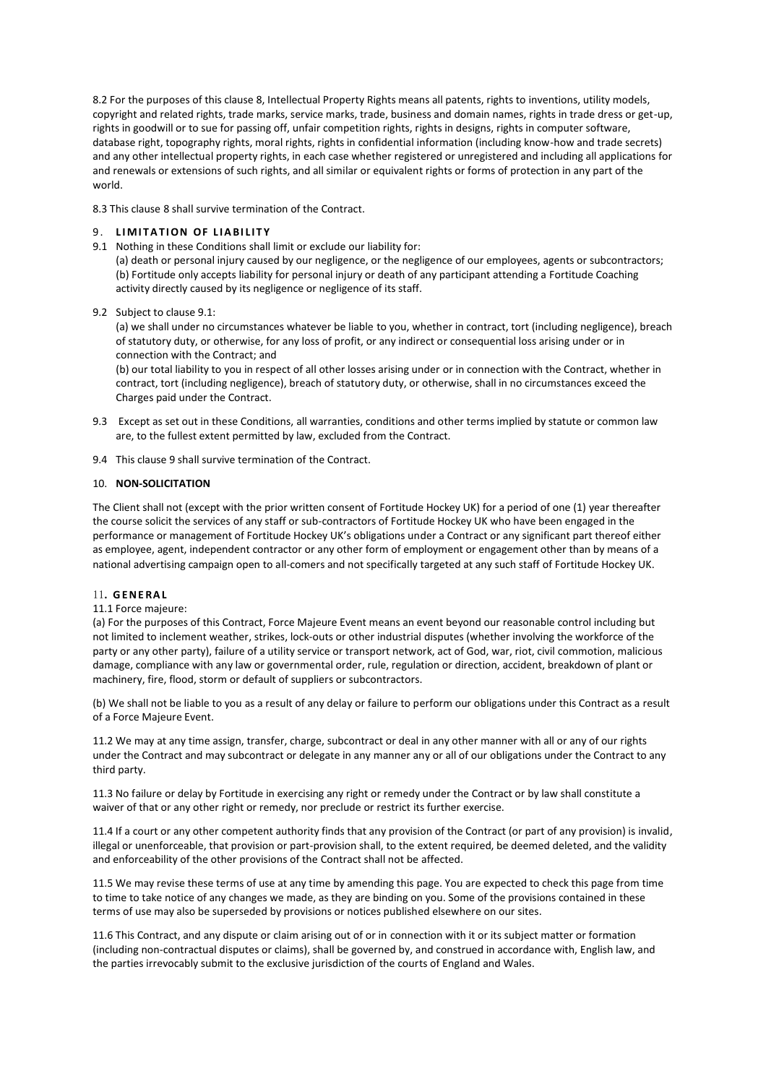8.2 For the purposes of this clause 8, Intellectual Property Rights means all patents, rights to inventions, utility models, copyright and related rights, trade marks, service marks, trade, business and domain names, rights in trade dress or get-up, rights in goodwill or to sue for passing off, unfair competition rights, rights in designs, rights in computer software, database right, topography rights, moral rights, rights in confidential information (including know-how and trade secrets) and any other intellectual property rights, in each case whether registered or unregistered and including all applications for and renewals or extensions of such rights, and all similar or equivalent rights or forms of protection in any part of the world.

8.3 This clause 8 shall survive termination of the Contract.

# 9. LIMITATION OF LIABILITY

9.1 Nothing in these Conditions shall limit or exclude our liability for:

(a) death or personal injury caused by our negligence, or the negligence of our employees, agents or subcontractors; (b) Fortitude only accepts liability for personal injury or death of any participant attending a Fortitude Coaching activity directly caused by its negligence or negligence of its staff.

9.2 Subject to clause 9.1:

(a) we shall under no circumstances whatever be liable to you, whether in contract, tort (including negligence), breach of statutory duty, or otherwise, for any loss of profit, or any indirect or consequential loss arising under or in connection with the Contract; and

(b) our total liability to you in respect of all other losses arising under or in connection with the Contract, whether in contract, tort (including negligence), breach of statutory duty, or otherwise, shall in no circumstances exceed the Charges paid under the Contract.

- 9.3 Except as set out in these Conditions, all warranties, conditions and other terms implied by statute or common law are, to the fullest extent permitted by law, excluded from the Contract.
- 9.4 This clause 9 shall survive termination of the Contract.

### 10. **NON-SOLICITATION**

The Client shall not (except with the prior written consent of Fortitude Hockey UK) for a period of one (1) year thereafter the course solicit the services of any staff or sub-contractors of Fortitude Hockey UK who have been engaged in the performance or management of Fortitude Hockey UK's obligations under a Contract or any significant part thereof either as employee, agent, independent contractor or any other form of employment or engagement other than by means of a national advertising campaign open to all-comers and not specifically targeted at any such staff of Fortitude Hockey UK.

## 11**. G E N E RA L**

### 11.1 Force majeure:

(a) For the purposes of this Contract, Force Majeure Event means an event beyond our reasonable control including but not limited to inclement weather, strikes, lock-outs or other industrial disputes (whether involving the workforce of the party or any other party), failure of a utility service or transport network, act of God, war, riot, civil commotion, malicious damage, compliance with any law or governmental order, rule, regulation or direction, accident, breakdown of plant or machinery, fire, flood, storm or default of suppliers or subcontractors.

(b) We shall not be liable to you as a result of any delay or failure to perform our obligations under this Contract as a result of a Force Majeure Event.

11.2 We may at any time assign, transfer, charge, subcontract or deal in any other manner with all or any of our rights under the Contract and may subcontract or delegate in any manner any or all of our obligations under the Contract to any third party.

11.3 No failure or delay by Fortitude in exercising any right or remedy under the Contract or by law shall constitute a waiver of that or any other right or remedy, nor preclude or restrict its further exercise.

11.4 If a court or any other competent authority finds that any provision of the Contract (or part of any provision) is invalid, illegal or unenforceable, that provision or part-provision shall, to the extent required, be deemed deleted, and the validity and enforceability of the other provisions of the Contract shall not be affected.

11.5 We may revise these terms of use at any time by amending this page. You are expected to check this page from time to time to take notice of any changes we made, as they are binding on you. Some of the provisions contained in these terms of use may also be superseded by provisions or notices published elsewhere on our sites.

11.6 This Contract, and any dispute or claim arising out of or in connection with it or its subject matter or formation (including non-contractual disputes or claims), shall be governed by, and construed in accordance with, English law, and the parties irrevocably submit to the exclusive jurisdiction of the courts of England and Wales.